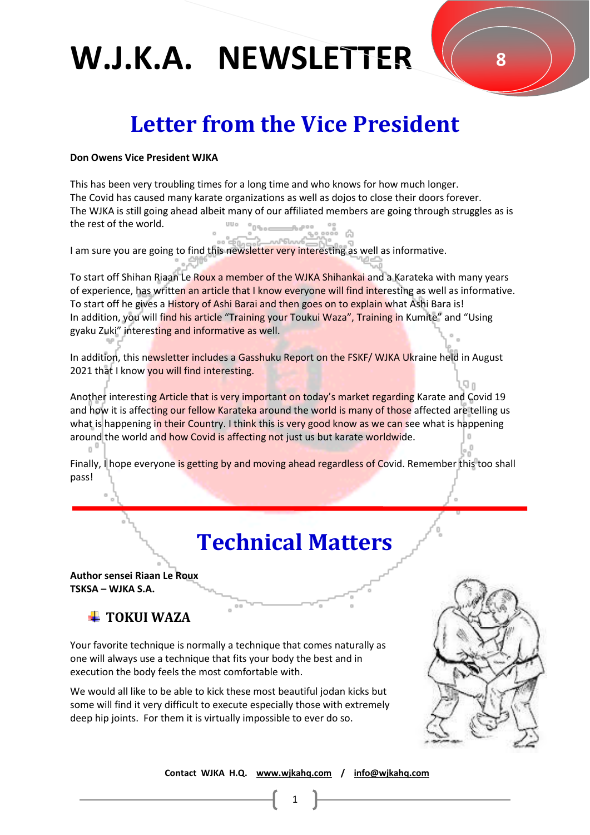### **Letter from the Vice President**

#### **Don Owens Vice President WJKA**

This has been very troubling times for a long time and who knows for how much longer. The Covid has caused many karate organizations as well as dojos to close their doors forever. The WJKA is still going ahead albeit many of our affiliated members are going through struggles as is the rest of the world.

I am sure you are going to find this newsletter very interesting as well as informative.

To start off Shihan Riaan Le Roux a member of the WJKA Shihankai and a Karateka with many years of experience, has written an article that I know everyone will find interesting as well as informative. To start off he gives a History of Ashi Barai and then goes on to explain what Ashi Bara is! In addition, you will find his article "Training your Toukui Waza", Training in Kumite" and "Using gyaku Zuki" interesting and informative as well.

In addition, this newsletter includes a Gasshuku Report on the FSKF/ WJKA Ukraine held in August 2021 that I know you will find interesting.

Another interesting Article that is very important on today's market regarding Karate and Covid 19 and how it is affecting our fellow Karateka around the world is many of those affected are telling us what is happening in their Country. I think this is very good know as we can see what is happening around the world and how Covid is affecting not just us but karate worldwide.

Finally, I hope everyone is getting by and moving ahead regardless of Covid. Remember this too shall pass!

### **Technical Matters**

**Author sensei Riaan Le Roux TSKSA – WJKA S.A.**

### **TOKUI WAZA**

Your favorite technique is normally a technique that comes naturally as one will always use a technique that fits your body the best and in execution the body feels the most comfortable with.

We would all like to be able to kick these most beautiful jodan kicks but some will find it very difficult to execute especially those with extremely deep hip joints. For them it is virtually impossible to ever do so.



 **Contact WJKA H.Q. [www.wjkahq.com](http://www.wjkahq.com/) / [info@wjkahq.com](mailto:info@wjkahq.com)**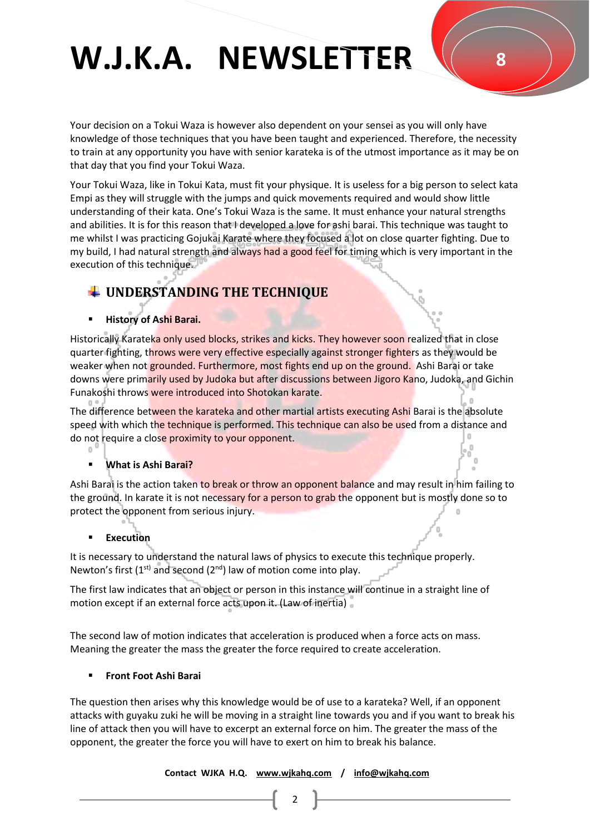Your decision on a Tokui Waza is however also dependent on your sensei as you will only have knowledge of those techniques that you have been taught and experienced. Therefore, the necessity to train at any opportunity you have with senior karateka is of the utmost importance as it may be on that day that you find your Tokui Waza.

Your Tokui Waza, like in Tokui Kata, must fit your physique. It is useless for a big person to select kata Empi as they will struggle with the jumps and quick movements required and would show little understanding of their kata. One's Tokui Waza is the same. It must enhance your natural strengths and abilities. It is for this reason that I developed a love for ashi barai. This technique was taught to me whilst I was practicing Gojukai Karate where they focused a lot on close quarter fighting. Due to my build, I had natural strength and always had a good feel for timing which is very important in the execution of this technique.

### **UNDERSTANDING THE TECHNIQUE**

### ▪ **History of Ashi Barai.**

Historically Karateka only used blocks, strikes and kicks. They however soon realized that in close quarter fighting, throws were very effective especially against stronger fighters as they would be weaker when not grounded. Furthermore, most fights end up on the ground. Ashi Barai or take downs were primarily used by Judoka but after discussions between Jigoro Kano, Judoka, and Gichin Funakoshi throws were introduced into Shotokan karate.

The difference between the karateka and other martial artists executing Ashi Barai is the absolute speed with which the technique is performed. This technique can also be used from a distance and do not require a close proximity to your opponent.

#### **What is Ashi Barai?**

Ashi Barai is the action taken to break or throw an opponent balance and may result in him failing to the ground. In karate it is not necessary for a person to grab the opponent but is mostly done so to protect the opponent from serious injury.

#### **Execution**

It is necessary to understand the natural laws of physics to execute this technique properly. Newton's first  $(1^{st})$  and second  $(2^{nd})$  law of motion come into play.

The first law indicates that an object or person in this instance will continue in a straight line of motion except if an external force acts upon it. (Law of inertia)

The second law of motion indicates that acceleration is produced when a force acts on mass. Meaning the greater the mass the greater the force required to create acceleration.

### ▪ **Front Foot Ashi Barai**

The question then arises why this knowledge would be of use to a karateka? Well, if an opponent attacks with guyaku zuki he will be moving in a straight line towards you and if you want to break his line of attack then you will have to excerpt an external force on him. The greater the mass of the opponent, the greater the force you will have to exert on him to break his balance.

 **Contact WJKA H.Q. [www.wjkahq.com](http://www.wjkahq.com/) / [info@wjkahq.com](mailto:info@wjkahq.com)**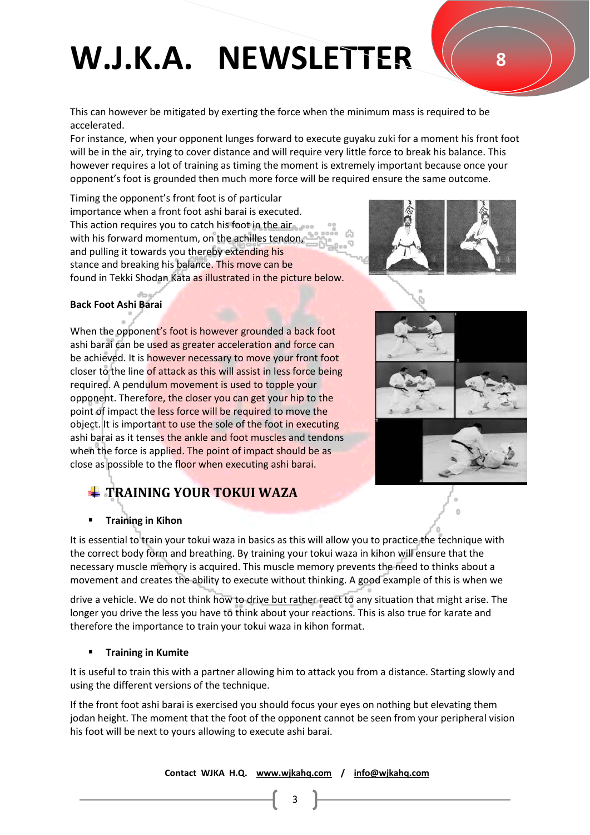This can however be mitigated by exerting the force when the minimum mass is required to be accelerated.

For instance, when your opponent lunges forward to execute guyaku zuki for a moment his front foot will be in the air, trying to cover distance and will require very little force to break his balance. This however requires a lot of training as timing the moment is extremely important because once your opponent's foot is grounded then much more force will be required ensure the same outcome.

Timing the opponent's front foot is of particular importance when a front foot ashi barai is executed. This action requires you to catch his foot in the air with his forward momentum, on the achilles tendon, and pulling it towards you thereby extending his stance and breaking his balance. This move can be found in Tekki Shodan Kata as illustrated in the picture below.



#### **Back Foot Ashi Barai**

When the opponent's foot is however grounded a back foot ashi barai can be used as greater acceleration and force can be achieved. It is however necessary to move your front foot closer to the line of attack as this will assist in less force being required. A pendulum movement is used to topple your opponent. Therefore, the closer you can get your hip to the point of impact the less force will be required to move the object. It is important to use the sole of the foot in executing ashi barai as it tenses the ankle and foot muscles and tendons when the force is applied. The point of impact should be as close as possible to the floor when executing ashi barai.



### **TRAINING YOUR TOKUI WAZA**

#### **Training in Kihon**

It is essential to train your tokui waza in basics as this will allow you to practice the technique with the correct body form and breathing. By training your tokui waza in kihon will ensure that the necessary muscle memory is acquired. This muscle memory prevents the need to thinks about a movement and creates the ability to execute without thinking. A good example of this is when we

drive a vehicle. We do not think how to drive but rather react to any situation that might arise. The longer you drive the less you have to think about your reactions. This is also true for karate and therefore the importance to train your tokui waza in kihon format.

#### **Training in Kumite**

It is useful to train this with a partner allowing him to attack you from a distance. Starting slowly and using the different versions of the technique.

If the front foot ashi barai is exercised you should focus your eyes on nothing but elevating them jodan height. The moment that the foot of the opponent cannot be seen from your peripheral vision his foot will be next to yours allowing to execute ashi barai.

 **Contact WJKA H.Q. [www.wjkahq.com](http://www.wjkahq.com/) / [info@wjkahq.com](mailto:info@wjkahq.com)**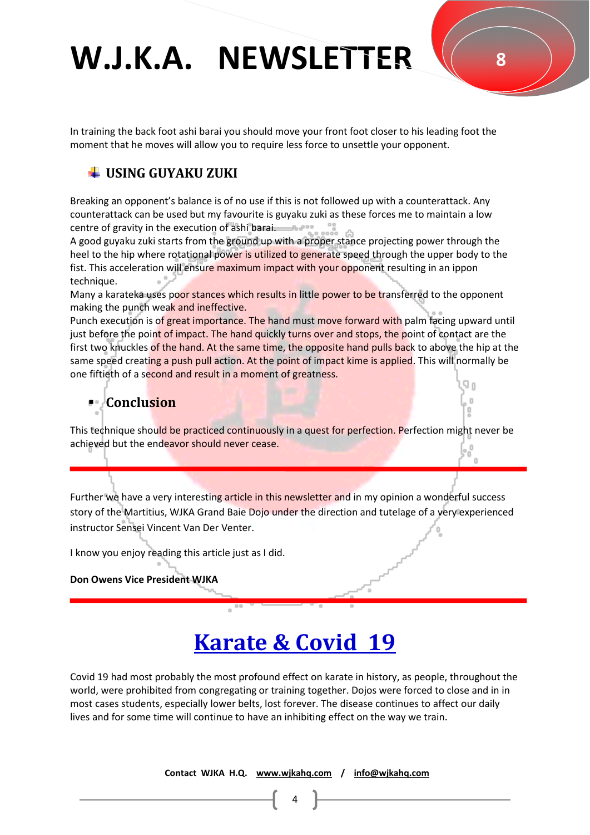In training the back foot ashi barai you should move your front foot closer to his leading foot the moment that he moves will allow you to require less force to unsettle your opponent.

### **USING GUYAKU ZUKI**

Breaking an opponent's balance is of no use if this is not followed up with a counterattack. Any counterattack can be used but my favourite is guyaku zuki as these forces me to maintain a low centre of gravity in the execution of ashi barai.

A good guyaku zuki starts from the ground up with a proper stance projecting power through the heel to the hip where rotational power is utilized to generate speed through the upper body to the fist. This acceleration will ensure maximum impact with your opponent resulting in an ippon technique.

Many a karateka uses poor stances which results in little power to be transferred to the opponent making the punch weak and ineffective.

Punch execution is of great importance. The hand must move forward with palm facing upward until just before the point of impact. The hand quickly turns over and stops, the point of contact are the first two knuckles of the hand. At the same time, the opposite hand pulls back to above the hip at the same speed creating a push pull action. At the point of impact kime is applied. This will normally be one fiftieth of a second and result in a moment of greatness.

### ▪ **Conclusion**

This technique should be practiced continuously in a quest for perfection. Perfection might never be achieved but the endeavor should never cease.

Further we have a very interesting article in this newsletter and in my opinion a wonderful success story of the Martitius, WJKA Grand Baie Dojo under the direction and tutelage of a very experienced instructor Sensei Vincent Van Der Venter.

I know you enjoy reading this article just as I did.

#### **Don Owens Vice President WJKA**

### **Karate & Covid 19**

Covid 19 had most probably the most profound effect on karate in history, as people, throughout the world, were prohibited from congregating or training together. Dojos were forced to close and in in most cases students, especially lower belts, lost forever. The disease continues to affect our daily lives and for some time will continue to have an inhibiting effect on the way we train.

 **Contact WJKA H.Q. [www.wjkahq.com](http://www.wjkahq.com/) / [info@wjkahq.com](mailto:info@wjkahq.com)**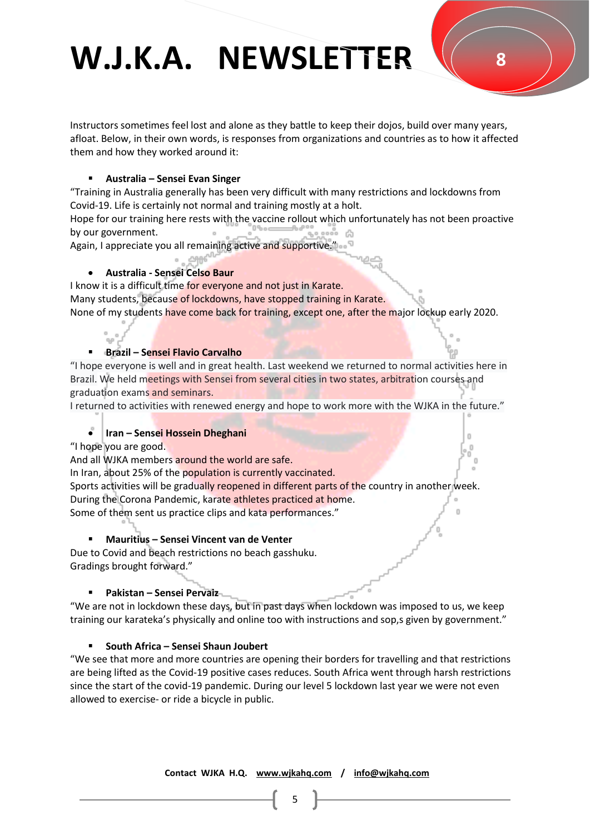Instructors sometimes feel lost and alone as they battle to keep their dojos, build over many years, afloat. Below, in their own words, is responses from organizations and countries as to how it affected them and how they worked around it:

### ▪ **Australia – Sensei Evan Singer**

"Training in Australia generally has been very difficult with many restrictions and lockdowns from Covid-19. Life is certainly not normal and training mostly at a holt.

Hope for our training here rests with the vaccine rollout which unfortunately has not been proactive by our government.

Again, I appreciate you all remaining active and supportive."

### • **Australia - Sensei Celso Baur**

I know it is a difficult time for everyone and not just in Karate.

Many students, because of lockdowns, have stopped training in Karate.

None of my students have come back for training, except one, after the major lockup early 2020.

### ▪ **Brazil – Sensei Flavio Carvalho**

"I hope everyone is well and in great health. Last weekend we returned to normal activities here in Brazil. We held meetings with Sensei from several cities in two states, arbitration courses and graduation exams and seminars.

I returned to activities with renewed energy and hope to work more with the WJKA in the future."

### • **Iran – Sensei Hossein Dheghani**

"I hope you are good.

And all WJKA members around the world are safe.

In Iran, about 25% of the population is currently vaccinated.

Sports activities will be gradually reopened in different parts of the country in another week. During the Corona Pandemic, karate athletes practiced at home.

Some of them sent us practice clips and kata performances."

### ▪ **Mauritius – Sensei Vincent van de Venter**

Due to Covid and beach restrictions no beach gasshuku. Gradings brought forward."

### ▪ **Pakistan – Sensei Pervaiz**

"We are not in lockdown these days, but in past days when lockdown was imposed to us, we keep training our karateka's physically and online too with instructions and sop,s given by government."

### ▪ **South Africa – Sensei Shaun Joubert**

"We see that more and more countries are opening their borders for travelling and that restrictions are being lifted as the Covid-19 positive cases reduces. South Africa went through harsh restrictions since the start of the covid-19 pandemic. During our level 5 lockdown last year we were not even allowed to exercise- or ride a bicycle in public.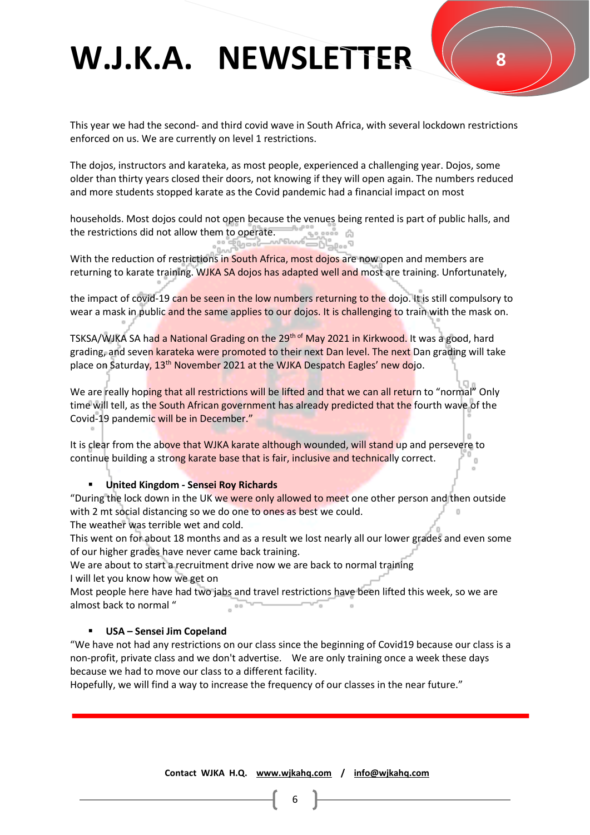This year we had the second- and third covid wave in South Africa, with several lockdown restrictions enforced on us. We are currently on level 1 restrictions.

The dojos, instructors and karateka, as most people, experienced a challenging year. Dojos, some older than thirty years closed their doors, not knowing if they will open again. The numbers reduced and more students stopped karate as the Covid pandemic had a financial impact on most

households. Most dojos could not open because the venues being rented is part of public halls, and the restrictions did not allow them to operate.

With the reduction of restrictions in South Africa, most dojos are now open and members are returning to karate training. WJKA SA dojos has adapted well and most are training. Unfortunately,

the impact of covid-19 can be seen in the low numbers returning to the dojo. It is still compulsory to wear a mask in public and the same applies to our dojos. It is challenging to train with the mask on.

TSKSA/WJKA SA had a National Grading on the 29<sup>th of</sup> May 2021 in Kirkwood. It was a good, hard grading, and seven karateka were promoted to their next Dan level. The next Dan grading will take place on Saturday, 13<sup>th</sup> November 2021 at the WJKA Despatch Eagles' new dojo.

We are really hoping that all restrictions will be lifted and that we can all return to "normal" Only time will tell, as the South African government has already predicted that the fourth wave of the Covid-19 pandemic will be in December."

It is clear from the above that WJKA karate although wounded, will stand up and persevere to continue building a strong karate base that is fair, inclusive and technically correct.

#### ▪ **United Kingdom - Sensei Roy Richards**

"During the lock down in the UK we were only allowed to meet one other person and then outside with 2 mt social distancing so we do one to ones as best we could.

The weather was terrible wet and cold.

This went on for about 18 months and as a result we lost nearly all our lower grades and even some of our higher grades have never came back training.

We are about to start a recruitment drive now we are back to normal training

I will let you know how we get on

Most people here have had two jabs and travel restrictions have been lifted this week, so we are almost back to normal "

#### ▪ **USA – Sensei Jim Copeland**

"We have not had any restrictions on our class since the beginning of Covid19 because our class is a non-profit, private class and we don't advertise. We are only training once a week these days because we had to move our class to a different facility.

Hopefully, we will find a way to increase the frequency of our classes in the near future."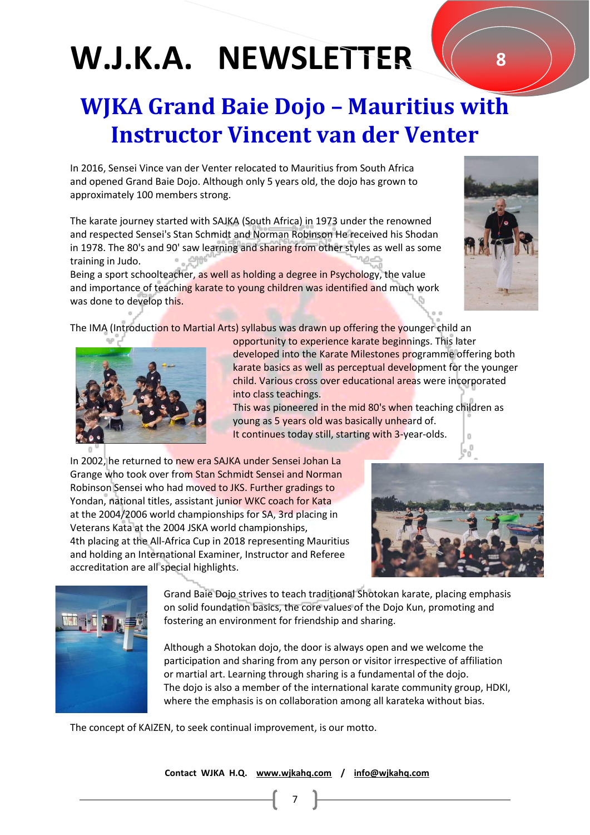### **WJKA Grand Baie Dojo – Mauritius with Instructor Vincent van der Venter**

In 2016, Sensei Vince van der Venter relocated to Mauritius from South Africa and opened Grand Baie Dojo. Although only 5 years old, the dojo has grown to approximately 100 members strong.

The karate journey started with SAJKA (South Africa) in 1973 under the renowned and respected Sensei's Stan Schmidt and Norman Robinson He received his Shodan in 1978. The 80's and 90' saw learning and sharing from other styles as well as some training in Judo.

Being a sport schoolteacher, as well as holding a degree in Psychology, the value and importance of teaching karate to young children was identified and much work was done to develop this.

The IMA (Introduction to Martial Arts) syllabus was drawn up offering the younger child an

 opportunity to experience karate beginnings. This later developed into the Karate Milestones programme offering both karate basics as well as perceptual development for the younger child. Various cross over educational areas were incorporated into class teachings.

This was pioneered in the mid 80's when teaching children as young as 5 years old was basically unheard of. It continues today still, starting with 3-year-olds.

In 2002, he returned to new era SAJKA under Sensei Johan La Grange who took over from Stan Schmidt Sensei and Norman Robinson Sensei who had moved to JKS. Further gradings to Yondan, national titles, assistant junior WKC coach for Kata at the 2004/2006 world championships for SA, 3rd placing in Veterans Kata at the 2004 JSKA world championships, 4th placing at the All-Africa Cup in 2018 representing Mauritius and holding an International Examiner, Instructor and Referee accreditation are all special highlights.

> Grand Baie Dojo strives to teach traditional Shotokan karate, placing emphasis on solid foundation basics, the core values of the Dojo Kun, promoting and fostering an environment for friendship and sharing.

> Although a Shotokan dojo, the door is always open and we welcome the participation and sharing from any person or visitor irrespective of affiliation or martial art. Learning through sharing is a fundamental of the dojo. The dojo is also a member of the international karate community group, HDKI, where the emphasis is on collaboration among all karateka without bias.

The concept of KAIZEN, to seek continual improvement, is our motto.

 **Contact WJKA H.Q. [www.wjkahq.com](http://www.wjkahq.com/) / [info@wjkahq.com](mailto:info@wjkahq.com)** 



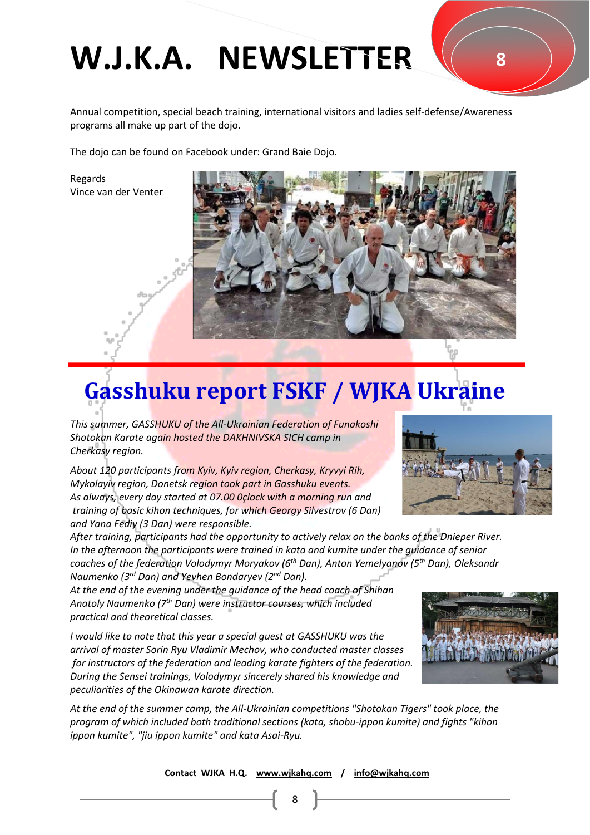Annual competition, special beach training, international visitors and ladies self-defense/Awareness programs all make up part of the dojo.

The dojo can be found on Facebook under: Grand Baie Dojo.

Regards Vince van der Venter



### **Gasshuku report FSKF / WJKA Ukraine**

*This summer, GASSHUKU of the All-Ukrainian Federation of Funakoshi Shotokan Karate again hosted the DAKHNIVSKA SICH camp in Cherkasy region.* 

*About 120 participants from Kyiv, Kyiv region, Cherkasy, Kryvyi Rih, Mykolayiv region, Donetsk region took part in Gasshuku events. As always, every day started at 07.00 0çlock with a morning run and training of basic kihon techniques, for which Georgy Silvestrov (6 Dan) and Yana Fediy (3 Dan) were responsible.* 



*At the end of the evening under the guidance of the head coach of Shihan Anatoly Naumenko (7th Dan) were instructor courses, which included practical and theoretical classes.* 

*I would like to note that this year a special guest at GASSHUKU was the arrival of master Sorin Ryu Vladimir Mechov, who conducted master classes for instructors of the federation and leading karate fighters of the federation. During the Sensei trainings, Volodymyr sincerely shared his knowledge and peculiarities of the Okinawan karate direction.* 

*At the end of the summer camp, the All-Ukrainian competitions "Shotokan Tigers" took place, the program of which included both traditional sections (kata, shobu-ippon kumite) and fights "kihon ippon kumite", "jiu ippon kumite" and kata Asai-Ryu.* 





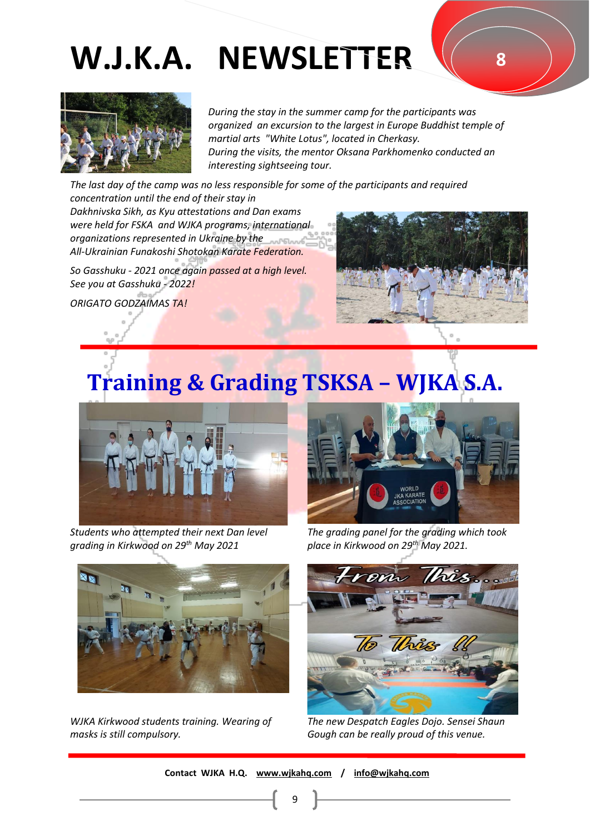**8**



 *During the stay in the summer camp for the participants was organized an excursion to the largest in Europe Buddhist temple of martial arts "White Lotus", located in Cherkasy. During the visits, the mentor Oksana Parkhomenko conducted an interesting sightseeing tour.* 

*The last day of the camp was no less responsible for some of the participants and required concentration until the end of their stay in Dakhnivska Sikh, as Kyu attestations and Dan exams were held for FSKA and WJKA programs, international organizations represented in Ukraine by the* 

*All-Ukrainian Funakoshi Shotokan Karate Federation.* 

*So Gasshuku - 2021 once again passed at a high level. See you at Gasshuku - 2022!* 

*ORIGATO GODZAIMAS TA!* 



### **Training & Grading TSKSA – WJKA S.A.**



*Students who attempted their next Dan level grading in Kirkwood on 29th May 2021*



*WJKA Kirkwood students training. Wearing of masks is still compulsory.*



*The grading panel for the grading which took place in Kirkwood on 29th May 2021.* 



*The new Despatch Eagles Dojo. Sensei Shaun Gough can be really proud of this venue.*

 **Contact WJKA H.Q. [www.wjkahq.com](http://www.wjkahq.com/) / [info@wjkahq.com](mailto:info@wjkahq.com)**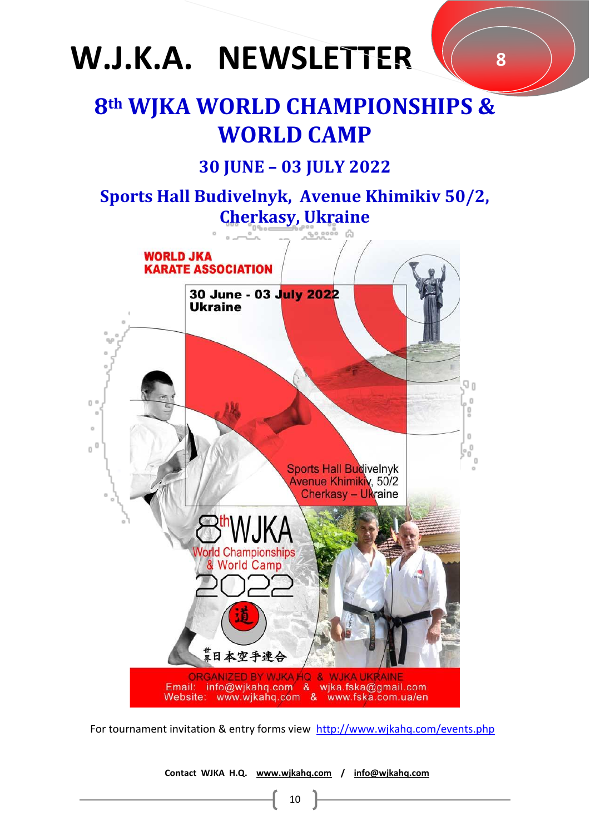### **8th WJKA WORLD CHAMPIONSHIPS & WORLD CAMP**

**8**

### **30 JUNE – 03 JULY 2022**

**Sports Hall Budivelnyk, Avenue Khimikiv 50/2, Cherkasy, Ukraine**



For tournament invitation & entry forms view <http://www.wjkahq.com/events.php>

 **Contact WJKA H.Q. [www.wjkahq.com](http://www.wjkahq.com/) / [info@wjkahq.com](mailto:info@wjkahq.com)**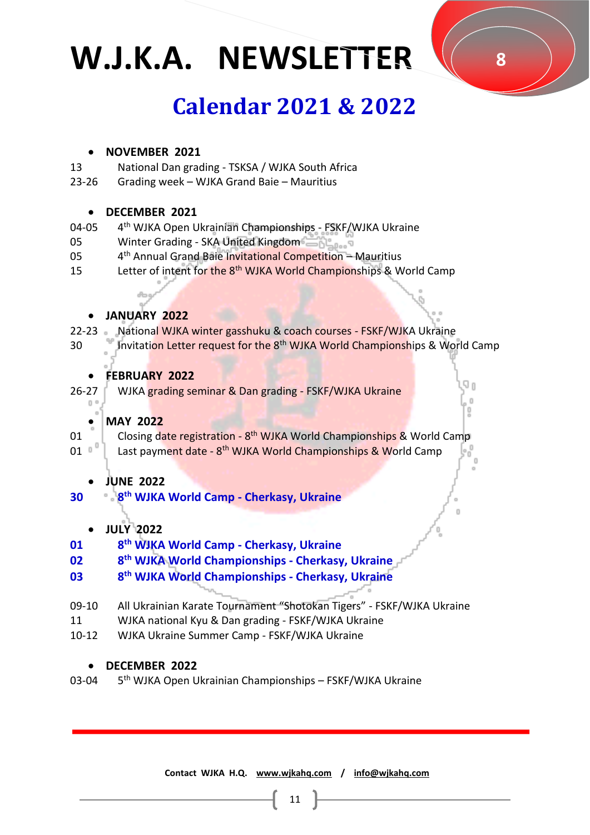### **Calendar 2021 & 2022**

### • **NOVEMBER 2021**

- 13 National Dan grading - TSKSA / WJKA South Africa
- 23-26 Grading week – WJKA Grand Baie – Mauritius

### • **DECEMBER 2021**

- 04-05 4 th WJKA Open Ukrainian Championships - FSKF/WJKA Ukraine
- 05 Winter Grading - SKA United Kingdom
- 05 4<sup>th</sup> Annual Grand Baie Invitational Competition - Mauritius
- 15 Letter of intent for the 8<sup>th</sup> WJKA World Championships & World Camp

### • **JANUARY 2022**

- 22-23 National WJKA winter gasshuku & coach courses - FSKF/WJKA Ukraine
- 30 Invitation Letter request for the 8<sup>th</sup> WJKA World Championships & World Camp

### • **FEBRUARY 2022**

26-27 WJKA grading seminar & Dan grading - FSKF/WJKA Ukraine

### • **MAY 2022**

- 01 Closing date registration - 8<sup>th</sup> WJKA World Championships & World Camp
- 01 Last payment date - 8<sup>th</sup> WJKA World Championships & World Camp

### • **JUNE 2022**

- **30 8 th WJKA World Camp - Cherkasy, Ukraine**
	- **JULY 2022**
- **01 8 th WJKA World Camp - Cherkasy, Ukraine**

#### **02 8 th WJKA World Championships - Cherkasy, Ukraine**

- **03 8 th WJKA World Championships - Cherkasy, Ukraine**
- 09-10 All Ukrainian Karate Tournament "Shotokan Tigers" - FSKF/WJKA Ukraine
- 11 WJKA national Kyu & Dan grading - FSKF/WJKA Ukraine
- 10-12 WJKA Ukraine Summer Camp - FSKF/WJKA Ukraine

### • **DECEMBER 2022**

03-04 5<sup>th</sup> WJKA Open Ukrainian Championships – FSKF/WJKA Ukraine

 **Contact WJKA H.Q. [www.wjkahq.com](http://www.wjkahq.com/) / [info@wjkahq.com](mailto:info@wjkahq.com)**